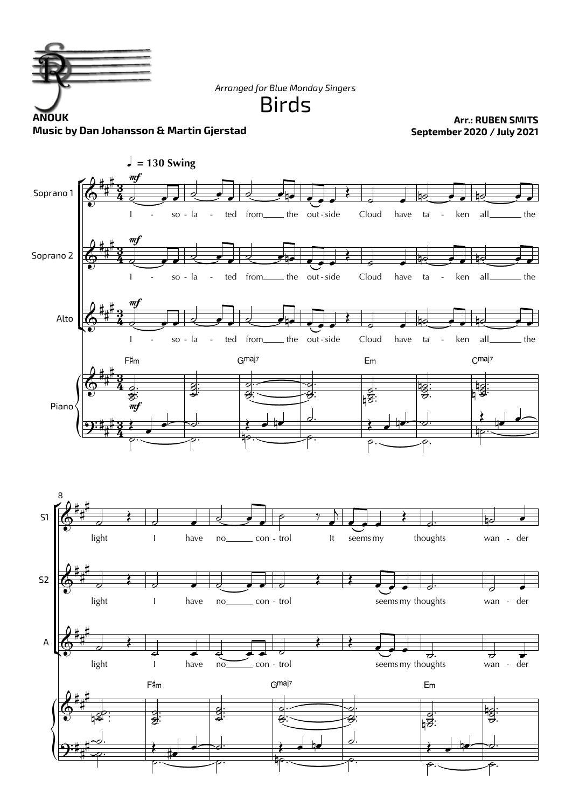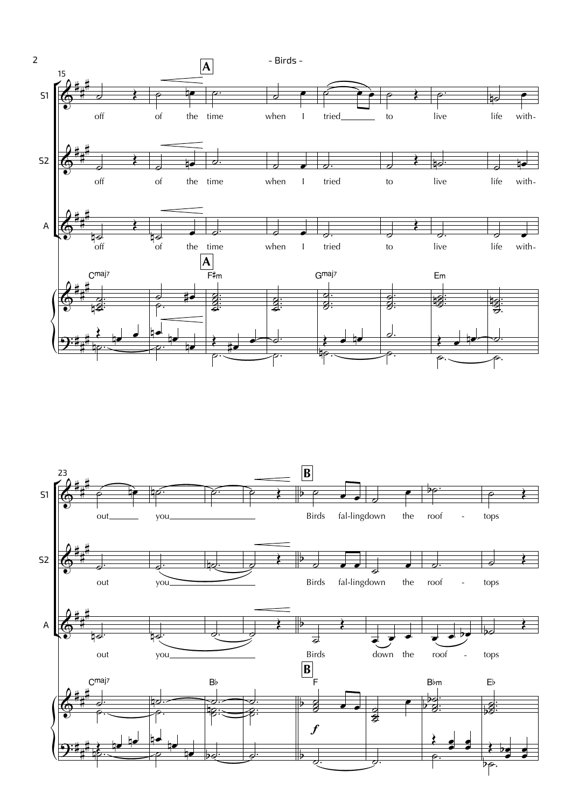